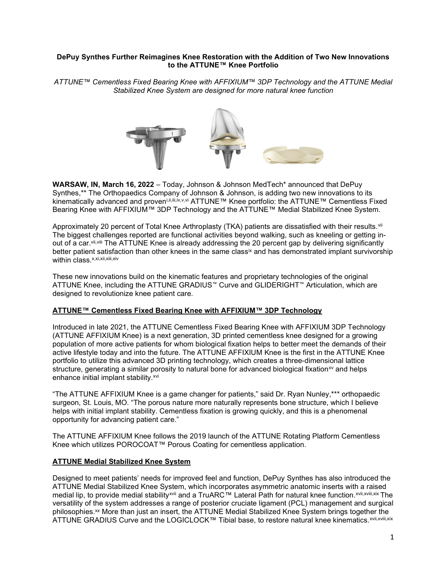# DePuy Synthes Further Reimagines Knee Restoration with the Addition of Two New Innovations to the ATTUNE™ Knee Portfolio

ATTUNE™ Cementless Fixed Bearing Knee with AFFIXIUM™ 3DP Technology and the ATTUNE Medial Stabilized Knee System are designed for more natural knee function



WARSAW, IN, March 16, 2022 – Today, Johnson & Johnson MedTech\* announced that DePuy Synthes,\*\* The Orthopaedics Company of Johnson & Johnson, is adding two new innovations to its kinematically advanced and proven<sup>i,ii,iii,iv,v,vi</sup> ATTUNE™ Knee portfolio: the ATTUNE™ Cementless Fixed Bearing Knee with AFFIXIUM™ 3DP Technology and the ATTUNE™ Medial Stabilized Knee System.

Approximately 20 percent of Total Knee Arthroplasty (TKA) patients are dissatisfied with their results.<sup>vii</sup> The biggest challenges reported are functional activities beyond walking, such as kneeling or getting inout of a car. Vii, Viii The ATTUNE Knee is already addressing the 20 percent gap by delivering significantly better patient satisfaction than other knees in the same class<sup>ix</sup> and has demonstrated implant survivorship within class.<sup>x,xi,xii,xiii,xiv</sup>

These new innovations build on the kinematic features and proprietary technologies of the original ATTUNE Knee, including the ATTUNE GRADIUS™ Curve and GLIDERIGHT™ Articulation, which are designed to revolutionize knee patient care.

# ATTUNE™ Cementless Fixed Bearing Knee with AFFIXIUM™ 3DP Technology

Introduced in late 2021, the ATTUNE Cementless Fixed Bearing Knee with AFFIXIUM 3DP Technology (ATTUNE AFFIXIUM Knee) is a next generation, 3D printed cementless knee designed for a growing population of more active patients for whom biological fixation helps to better meet the demands of their active lifestyle today and into the future. The ATTUNE AFFIXIUM Knee is the first in the ATTUNE Knee portfolio to utilize this advanced 3D printing technology, which creates a three-dimensional lattice structure, generating a similar porosity to natural bone for advanced biological fixation $x<sub>v</sub>$  and helps enhance initial implant stability.<sup>xvi</sup>

"The ATTUNE AFFIXIUM Knee is a game changer for patients," said Dr. Ryan Nunley,\*\*\* orthopaedic surgeon, St. Louis, MO. "The porous nature more naturally represents bone structure, which I believe helps with initial implant stability. Cementless fixation is growing quickly, and this is a phenomenal opportunity for advancing patient care."

The ATTUNE AFFIXIUM Knee follows the 2019 launch of the ATTUNE Rotating Platform Cementless Knee which utilizes POROCOAT™ Porous Coating for cementless application.

# ATTUNE Medial Stabilized Knee System

Designed to meet patients' needs for improved feel and function, DePuy Synthes has also introduced the ATTUNE Medial Stabilized Knee System, which incorporates asymmetric anatomic inserts with a raised medial lip, to provide medial stabilityxvii and a TruARC™ Lateral Path for natural knee function.xvii,xviii,xix The versatility of the system addresses a range of posterior cruciate ligament (PCL) management and surgical philosophies.<sup>xx</sup> More than just an insert, the ATTUNE Medial Stabilized Knee System brings together the ATTUNE GRADIUS Curve and the LOGICLOCK™ Tibial base, to restore natural knee kinematics.<sup>xvii,xvii,xix</sup>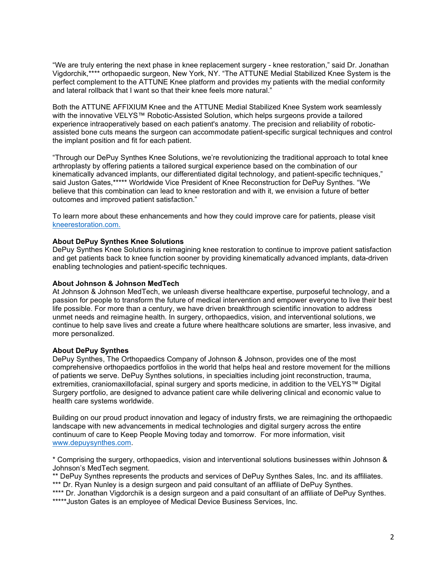"We are truly entering the next phase in knee replacement surgery - knee restoration," said Dr. Jonathan Vigdorchik,\*\*\*\* orthopaedic surgeon, New York, NY. "The ATTUNE Medial Stabilized Knee System is the perfect complement to the ATTUNE Knee platform and provides my patients with the medial conformity and lateral rollback that I want so that their knee feels more natural."

Both the ATTUNE AFFIXIUM Knee and the ATTUNE Medial Stabilized Knee System work seamlessly with the innovative VELYS™ Robotic-Assisted Solution, which helps surgeons provide a tailored experience intraoperatively based on each patient's anatomy. The precision and reliability of roboticassisted bone cuts means the surgeon can accommodate patient-specific surgical techniques and control the implant position and fit for each patient.

"Through our DePuy Synthes Knee Solutions, we're revolutionizing the traditional approach to total knee arthroplasty by offering patients a tailored surgical experience based on the combination of our kinematically advanced implants, our differentiated digital technology, and patient-specific techniques," said Juston Gates,\*\*\*\*\* Worldwide Vice President of Knee Reconstruction for DePuy Synthes. "We believe that this combination can lead to knee restoration and with it, we envision a future of better outcomes and improved patient satisfaction."

To learn more about these enhancements and how they could improve care for patients, please visit kneerestoration.com.

#### About DePuy Synthes Knee Solutions

DePuy Synthes Knee Solutions is reimagining knee restoration to continue to improve patient satisfaction and get patients back to knee function sooner by providing kinematically advanced implants, data-driven enabling technologies and patient-specific techniques.

#### About Johnson & Johnson MedTech

At Johnson & Johnson MedTech, we unleash diverse healthcare expertise, purposeful technology, and a passion for people to transform the future of medical intervention and empower everyone to live their best life possible. For more than a century, we have driven breakthrough scientific innovation to address unmet needs and reimagine health. In surgery, orthopaedics, vision, and interventional solutions, we continue to help save lives and create a future where healthcare solutions are smarter, less invasive, and more personalized.

### About DePuy Synthes

DePuy Synthes, The Orthopaedics Company of Johnson & Johnson, provides one of the most comprehensive orthopaedics portfolios in the world that helps heal and restore movement for the millions of patients we serve. DePuy Synthes solutions, in specialties including joint reconstruction, trauma, extremities, craniomaxillofacial, spinal surgery and sports medicine, in addition to the VELYS™ Digital Surgery portfolio, are designed to advance patient care while delivering clinical and economic value to health care systems worldwide.

Building on our proud product innovation and legacy of industry firsts, we are reimagining the orthopaedic landscape with new advancements in medical technologies and digital surgery across the entire continuum of care to Keep People Moving today and tomorrow. For more information, visit www.depuysynthes.com.

\* Comprising the surgery, orthopaedics, vision and interventional solutions businesses within Johnson & Johnson's MedTech segment.

\*\* DePuy Synthes represents the products and services of DePuy Synthes Sales, Inc. and its affiliates. \*\*\* Dr. Ryan Nunley is a design surgeon and paid consultant of an affiliate of DePuy Synthes.

\*\*\*\* Dr. Jonathan Vigdorchik is a design surgeon and a paid consultant of an affiliate of DePuy Synthes. \*\*\*\*\*Juston Gates is an employee of Medical Device Business Services, Inc.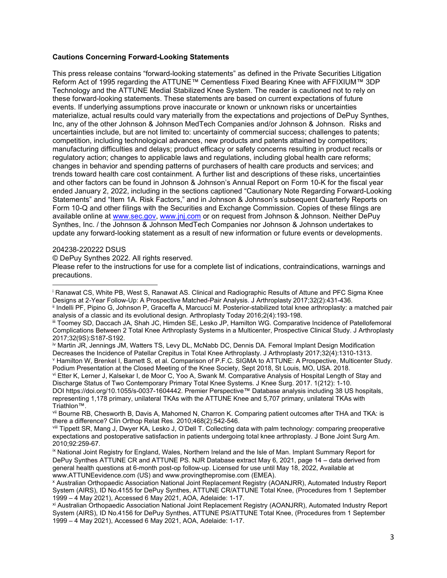### Cautions Concerning Forward-Looking Statements

This press release contains "forward-looking statements" as defined in the Private Securities Litigation Reform Act of 1995 regarding the ATTUNE™ Cementless Fixed Bearing Knee with AFFIXIUM™ 3DP Technology and the ATTUNE Medial Stabilized Knee System. The reader is cautioned not to rely on these forward-looking statements. These statements are based on current expectations of future events. If underlying assumptions prove inaccurate or known or unknown risks or uncertainties materialize, actual results could vary materially from the expectations and projections of DePuy Synthes, Inc, any of the other Johnson & Johnson MedTech Companies and/or Johnson & Johnson. Risks and uncertainties include, but are not limited to: uncertainty of commercial success; challenges to patents; competition, including technological advances, new products and patents attained by competitors; manufacturing difficulties and delays; product efficacy or safety concerns resulting in product recalls or regulatory action; changes to applicable laws and regulations, including global health care reforms; changes in behavior and spending patterns of purchasers of health care products and services; and trends toward health care cost containment. A further list and descriptions of these risks, uncertainties and other factors can be found in Johnson & Johnson's Annual Report on Form 10-K for the fiscal year ended January 2, 2022, including in the sections captioned "Cautionary Note Regarding Forward-Looking Statements" and "Item 1A. Risk Factors," and in Johnson & Johnson's subsequent Quarterly Reports on Form 10-Q and other filings with the Securities and Exchange Commission. Copies of these filings are available online at www.sec.gov, www.jnj.com or on request from Johnson & Johnson. Neither DePuv Synthes, Inc. / the Johnson & Johnson MedTech Companies nor Johnson & Johnson undertakes to update any forward-looking statement as a result of new information or future events or developments.

#### 204238-220222 DSUS

© DePuy Synthes 2022. All rights reserved.

Please refer to the instructions for use for a complete list of indications, contraindications, warnings and precautions.

representing 1,178 primary, unilateral TKAs with the ATTUNE Knee and 5,707 primary, unilateral TKAs with Triathlon™.

i Ranawat CS, White PB, West S, Ranawat AS. Clinical and Radiographic Results of Attune and PFC Sigma Knee Designs at 2-Year Follow-Up: A Prospective Matched-Pair Analysis. J Arthroplasty 2017;32(2):431-436.

ii Indelli PF, Pipino G, Johnson P, Graceffa A, Marcucci M. Posterior-stabilized total knee arthroplasty: a matched pair analysis of a classic and its evolutional design. Arthroplasty Today 2016;2(4):193-198.

iii Toomey SD, Daccach JA, Shah JC, Himden SE, Lesko JP, Hamilton WG. Comparative Incidence of Patellofemoral Complications Between 2 Total Knee Arthroplasty Systems in a Multicenter, Prospective Clinical Study. J Arthroplasty 2017;32(9S):S187-S192.

iv Martin JR, Jennings JM, Watters TS, Levy DL, McNabb DC, Dennis DA. Femoral Implant Design Modification Decreases the Incidence of Patellar Crepitus in Total Knee Arthroplasty. J Arthroplasty 2017;32(4):1310-1313. v Hamilton W, Brenkel I, Barnett S, et al. Comparison of P.F.C. SIGMA to ATTUNE: A Prospective, Multicenter Study.

Podium Presentation at the Closed Meeting of the Knee Society, Sept 2018, St Louis, MO, USA. 2018. vi Etter K, Lerner J, Kalsekar I, de Moor C, Yoo A, Swank M. Comparative Analysis of Hospital Length of Stay and

Discharge Status of Two Contemporary Primary Total Knee Systems. J Knee Surg. 2017. 1(212): 1-10. DOI https://doi.org/10.1055/s-0037-1604442. Premier Perspective™ Database analysis including 38 US hospitals,

vii Bourne RB, Chesworth B, Davis A, Mahomed N, Charron K. Comparing patient outcomes after THA and TKA: is there a difference? Clin Orthop Relat Res. 2010;468(2):542-546.

viii Tippett SR, Mang J, Dwyer KA, Lesko J, O'Dell T. Collecting data with palm technology: comparing preoperative expectations and postoperative satisfaction in patients undergoing total knee arthroplasty. J Bone Joint Surg Am. 2010;92:259-67.

ix National Joint Registry for England, Wales, Northern Ireland and the Isle of Man. Implant Summary Report for DePuy Synthes ATTUNE CR and ATTUNE PS. NJR Database extract May 6, 2021, page 14 – data derived from general health questions at 6-month post-op follow-up. Licensed for use until May 18, 2022, Available at www.ATTUNEevidence.com (US) and www.provingthepromise.com (EMEA).

x Australian Orthopaedic Association National Joint Replacement Registry (AOANJRR), Automated Industry Report System (AIRS), ID No.4155 for DePuy Synthes, ATTUNE CR/ATTUNE Total Knee, (Procedures from 1 September 1999 – 4 May 2021), Accessed 6 May 2021, AOA, Adelaide: 1-17.

xi Australian Orthopaedic Association National Joint Replacement Registry (AOANJRR), Automated Industry Report System (AIRS), ID No.4156 for DePuy Synthes, ATTUNE PS/ATTUNE Total Knee, (Procedures from 1 September 1999 – 4 May 2021), Accessed 6 May 2021, AOA, Adelaide: 1-17.